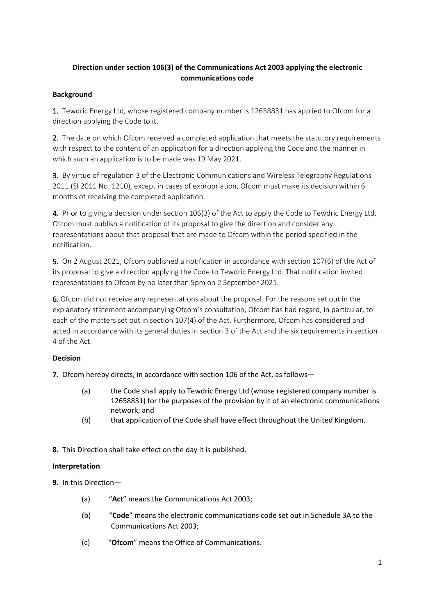# **Direction under section 106(3) of the Communications Act 2003 applying the electronic communications code**

## **Background**

1. Tewdric Energy Ltd, whose registered company number is 12658831 has applied to Ofcom for a direction applying the Code to it.

2. The date on which Ofcom received a completed application that meets the statutory requirements with respect to the content of an application for a direction applying the Code and the manner in which such an application is to be made was 19 May 2021.

3. By virtue of regulation 3 of the Electronic Communications and Wireless Telegraphy Regulations 2011 (SI 2011 No. 1210), except in cases of expropriation, Ofcom must make its decision within 6 months of receiving the completed application.

4. Prior to giving a decision under section 106(3) of the Act to apply the Code to Tewdric Energy Ltd, Ofcom must publish a notification of its proposal to give the direction and consider any representations about that proposal that are made to Ofcom within the period specified in the notification.

5. On 2 August 2021, Ofcom published a notification in accordance with section 107(6) of the Act of its proposal to give a direction applying the Code to Tewdric Energy Ltd. That notification invited representations to Ofcom by no later than 5pm on 2 September 2021.

6. Ofcom did not receive any representations about the proposal. For the reasons set out in the explanatory statement accompanying Ofcom's consultation, Ofcom has had regard, in particular, to each of the matters set out in section 107(4) of the Act. Furthermore, Ofcom has considered and acted in accordance with its general duties in section 3 of the Act and the six requirements in section 4 of the Act.

## **Decision**

**7.** Ofcom hereby directs, in accordance with section 106 of the Act, as follows—

- (a) the Code shall apply to Tewdric Energy Ltd (whose registered company number is 12658831) for the purposes of the provision by it of an electronic communications network; and
- (b) that application of the Code shall have effect throughout the United Kingdom.

**8.** This Direction shall take effect on the day it is published.

## **Interpretation**

**9.** In this Direction—

- (a) "**Act**" means the Communications Act 2003;
- (b) "**Code**" means the electronic communications code set out in Schedule 3A to the Communications Act 2003;
- (c) "**Ofcom**" means the Office of Communications.